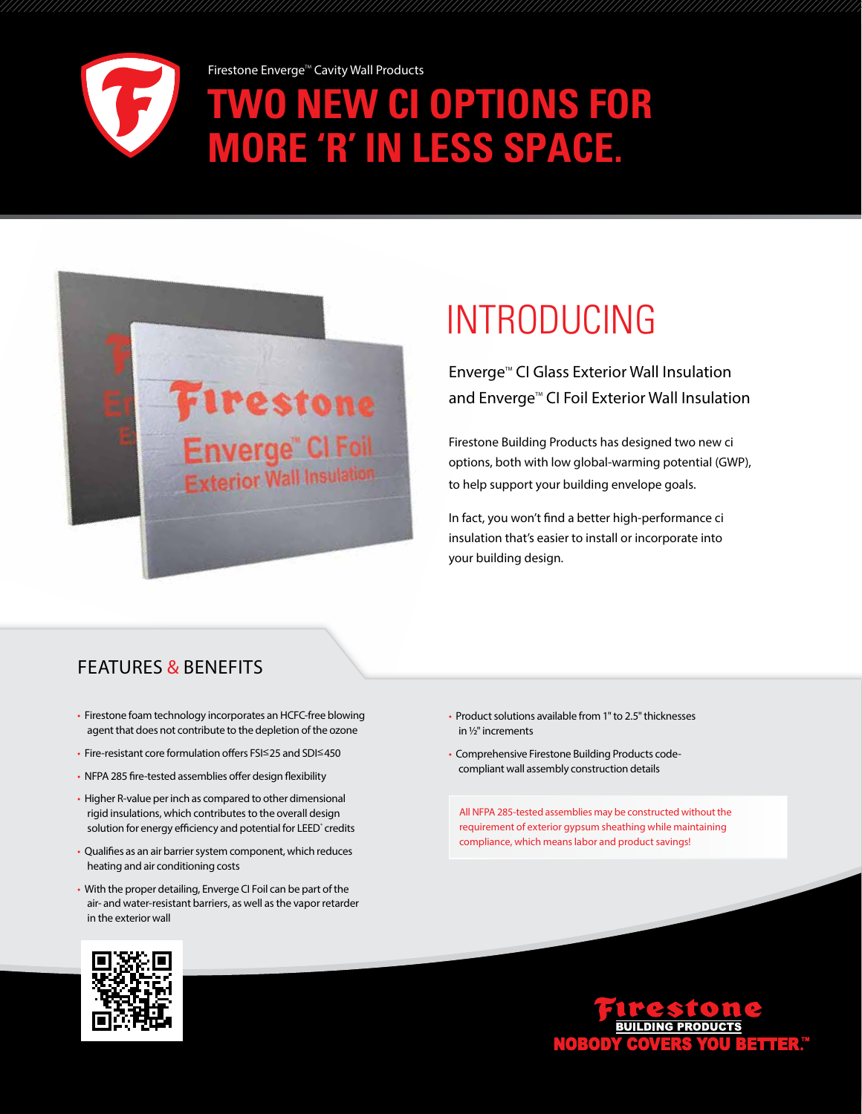

Firestone Enverge<sup>™</sup> Cavity Wall Products

## **NEW CI OPTIONS FOR more 'R' in less space.**



# **INTRODUCING**

Enverge<sup>™</sup> CI Glass Exterior Wall Insulation and Enverge<sup>™</sup> CI Foil Exterior Wall Insulation

Firestone Building Products has designed two new ci options, both with low global-warming potential (GWP), to help support your building envelope goals.

In fact, you won't find a better high-performance ci insulation that's easier to install or incorporate into your building design.

## Features & Benefits

- Firestone foam technology incorporates an HCFC-free blowing agent that does not contribute to the depletion of the ozone
- Fire-resistant core formulation offers FSI≤25 and SDI≤450
- NFPA 285 fire-tested assemblies offer design flexibility
- Higher R-value per inch as compared to other dimensional rigid insulations, which contributes to the overall design solution for energy efficiency and potential for LEED<sup>®</sup> credits
- Qualifies as an air barrier system component, which reduces heating and air conditioning costs
- With the proper detailing, Enverge CI Foil can be part of the air- and water-resistant barriers, as well as the vapor retarder in the exterior wall
- Product solutions available from 1" to 2.5" thicknesses in ½" increments
- Comprehensive Firestone Building Products codecompliant wall assembly construction details

All NFPA 285-tested assemblies may be constructed without the requirement of exterior gypsum sheathing while maintaining compliance, which means labor and product savings!